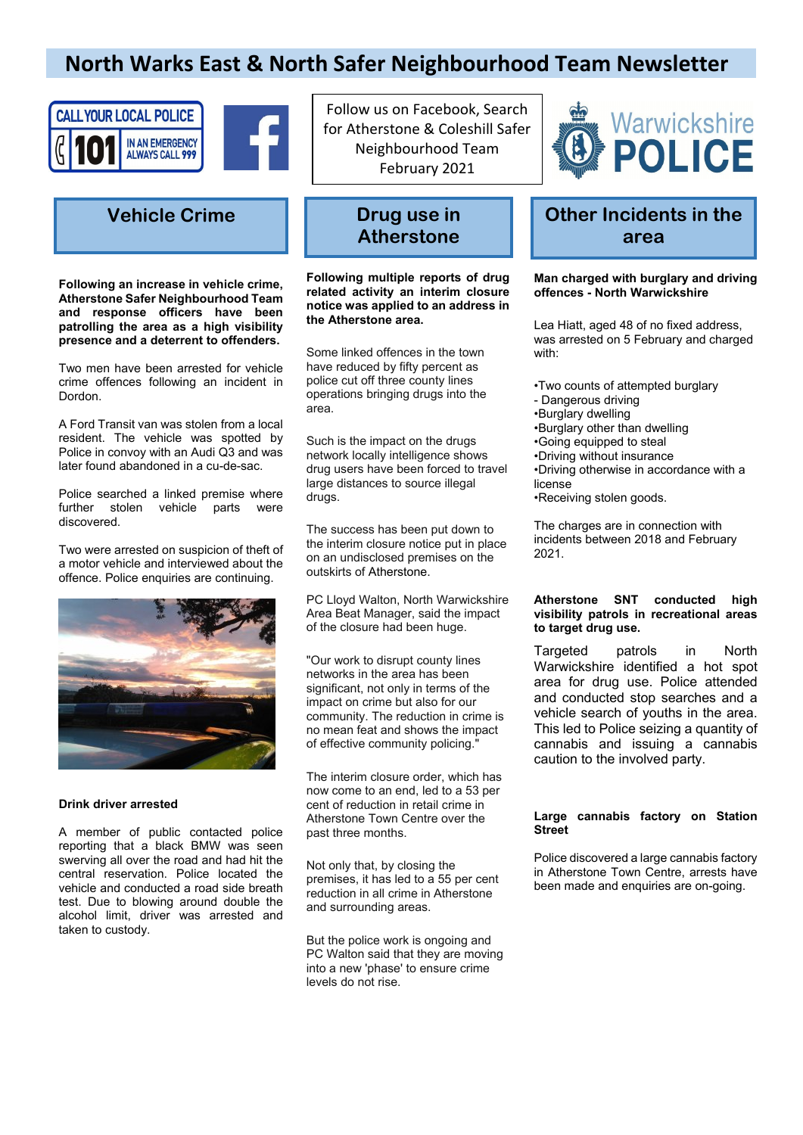## **North Warks East & North Safer Neighbourhood Team Newsletter**





## **Vehicle Crime Drug use in**

**Following an increase in vehicle crime, Atherstone Safer Neighbourhood Team and response officers have been patrolling the area as a high visibility presence and a deterrent to offenders.**

Two men have been arrested for vehicle crime offences following an incident in Dordon.

A Ford Transit van was stolen from a local resident. The vehicle was spotted by Police in convoy with an Audi Q3 and was later found abandoned in a cu-de-sac.

Police searched a linked premise where further stolen vehicle parts were discovered.

Two were arrested on suspicion of theft of a motor vehicle and interviewed about the offence. Police enquiries are continuing.



#### **Drink driver arrested**

A member of public contacted police reporting that a black BMW was seen swerving all over the road and had hit the central reservation. Police located the vehicle and conducted a road side breath test. Due to blowing around double the alcohol limit, driver was arrested and taken to custody.

Follow us on Facebook, Search for Atherstone & Coleshill Safer Neighbourhood Team February 2021

# **Atherstone**

**Following multiple reports of drug related activity an interim closure notice was applied to an address in the Atherstone area.**

Some linked offences in the town have reduced by fifty percent as police cut off three county lines operations bringing drugs into the area.

Such is the impact on the drugs network locally intelligence shows drug users have been forced to travel large distances to source illegal drugs.

The success has been put down to the interim closure notice put in place on an undisclosed premises on the outskirts of [Atherstone.](https://www.coventrytelegraph.net/all-about/atherstone)

PC Lloyd Walton, North Warwickshire Area Beat Manager, said the impact of the closure had been huge.

"Our work to disrupt county lines networks in the area has been significant, not only in terms of the impact on crime but also for our community. The reduction in crime is no mean feat and shows the impact of effective community policing."

The interim closure order, which has now come to an end, led to a 53 per cent of reduction in retail crime in Atherstone Town Centre over the past three months.

Not only that, by closing the premises, it has led to a 55 per cent reduction in all crime in Atherstone and surrounding areas.

But the police work is ongoing and PC Walton said that they are moving into a new 'phase' to ensure crime levels do not rise.



## **Other Incidents in the area**

#### **Man charged with burglary and driving offences - North Warwickshire**

Lea Hiatt, aged 48 of no fixed address, was arrested on 5 February and charged with:

- •Two counts of attempted burglary
- Dangerous driving
- •Burglary dwelling
- •Burglary other than dwelling
- •Going equipped to steal
- •Driving without insurance
- •Driving otherwise in accordance with a license
- •Receiving stolen goods.

The charges are in connection with incidents between 2018 and February 2021.

#### **Atherstone SNT conducted high visibility patrols in recreational areas to target drug use.**

Targeted patrols in North Warwickshire identified a hot spot area for drug use. Police attended and conducted stop searches and a vehicle search of youths in the area. This led to Police seizing a quantity of cannabis and issuing a cannabis caution to the involved party.

#### **Large cannabis factory on Station Street**

Police discovered a large cannabis factory in Atherstone Town Centre, arrests have been made and enquiries are on-going.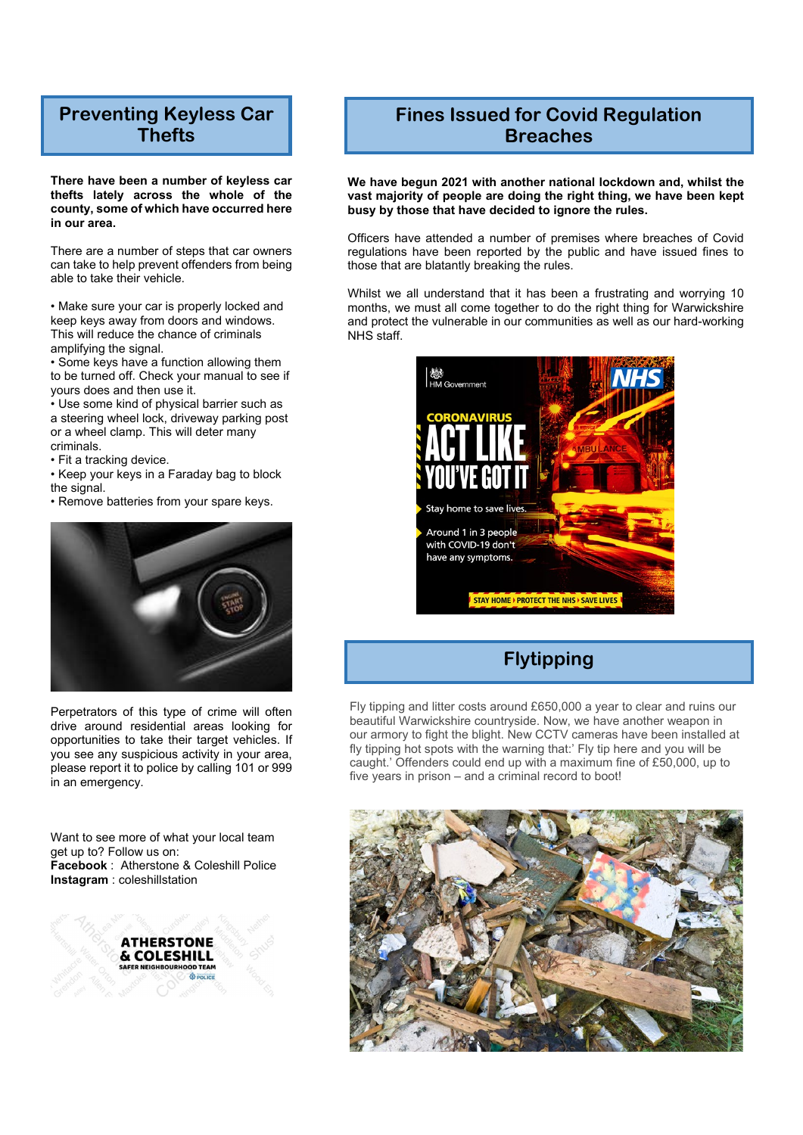## **Preventing Keyless Car Thefts**

**There have been a number of keyless car thefts lately across the whole of the county, some of which have occurred here in our area.**

There are a number of steps that car owners can take to help prevent offenders from being able to take their vehicle.

• Make sure your car is properly locked and keep keys away from doors and windows. This will reduce the chance of criminals amplifying the signal.

• Some keys have a function allowing them to be turned off. Check your manual to see if yours does and then use it.

• Use some kind of physical barrier such as a steering wheel lock, driveway parking post or a wheel clamp. This will deter many criminals.

• Fit a tracking device.

• Keep your keys in a Faraday bag to block the signal.

• Remove batteries from your spare keys.



Perpetrators of this type of crime will often drive around residential areas looking for opportunities to take their target vehicles. If you see any suspicious activity in your area, please report it to police by calling 101 or 999 in an emergency.

Want to see more of what your local team get up to? Follow us on: **Facebook** : Atherstone & Coleshill Police **Instagram** : coleshillstation



### **Fines Issued for Covid Regulation Breaches**

**We have begun 2021 with another national lockdown and, whilst the vast majority of people are doing the right thing, we have been kept busy by those that have decided to ignore the rules.**

Officers have attended a number of premises where breaches of Covid regulations have been reported by the public and have issued fines to those that are blatantly breaking the rules.

Whilst we all understand that it has been a frustrating and worrying 10 months, we must all come together to do the right thing for Warwickshire and protect the vulnerable in our communities as well as our hard-working NHS staff.



## **Flytipping**

Fly tipping and litter costs around £650,000 a year to clear and ruins our beautiful Warwickshire countryside. Now, we have another weapon in our armory to fight the blight. New CCTV cameras have been installed at fly tipping hot spots with the warning that:' Fly tip here and you will be caught.' Offenders could end up with a maximum fine of £50,000, up to five years in prison – and a criminal record to boot!